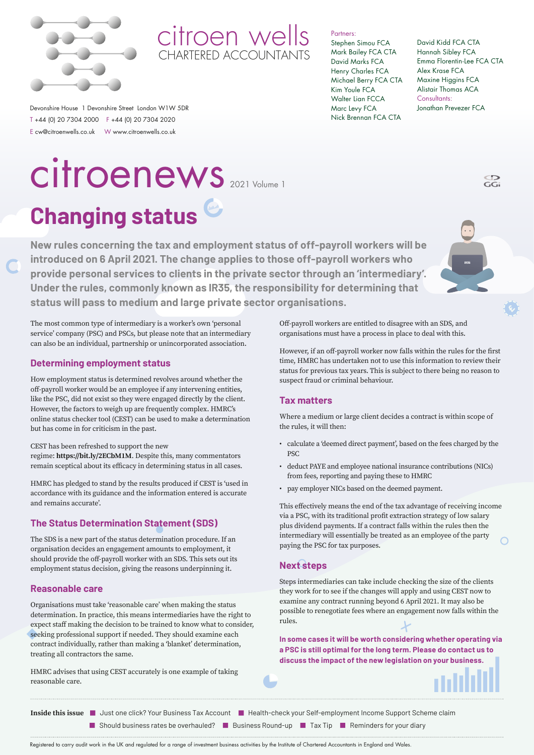



Partners:

#### Stephen Simou FCA Mark Bailey FCA CTA David Marks FCA Henry Charles FCA Michael Berry FCA CTA Kim Youle FCA Walter Lian FCCA Marc Levy FCA Nick Brennan FCA CTA

David Kidd FCA CTA Hannah Sibley FCA Emma Florentin-Lee FCA CTA Alex Krase FCA Maxine Higgins FCA Alistair Thomas ACA Consultants: Jonathan Prevezer FCA

CD<br>GGi

Devonshire House 1 Devonshire Street London W1W 5DR T +44 (0) 20 7304 2000 F +44 (0) 20 7304 2020 E cw@citroenwells.co.uk W www.citroenwells.co.uk

## **Changing status** 2021 Volume 1 citroenews

**New rules concerning the tax and employment status of off-payroll workers will be introduced on 6 April 2021. The change applies to those off-payroll workers who provide personal services to clients in the private sector through an 'intermediary'. Under the rules, commonly known as IR35, the responsibility for determining that status will pass to medium and large private sector organisations.** 

The most common type of intermediary is a worker's own 'personal service' company (PSC) and PSCs, but please note that an intermediary can also be an individual, partnership or unincorporated association.

### **Determining employment status**

How employment status is determined revolves around whether the off-payroll worker would be an employee if any intervening entities, like the PSC, did not exist so they were engaged directly by the client. However, the factors to weigh up are frequently complex. HMRC's online status checker tool (CEST) can be used to make a determination but has come in for criticism in the past.

CEST has been refreshed to support the new regime: **https://bit.ly/2ECbM1M**. Despite this, many commentators remain sceptical about its efficacy in determining status in all cases.

HMRC has pledged to stand by the results produced if CEST is 'used in accordance with its guidance and the information entered is accurate and remains accurate'.

## **The Status Determination Statement (SDS)**

The SDS is a new part of the status determination procedure. If an organisation decides an engagement amounts to employment, it should provide the off-payroll worker with an SDS. This sets out its employment status decision, giving the reasons underpinning it.

### **Reasonable care**

Organisations must take 'reasonable care' when making the status determination. In practice, this means intermediaries have the right to expect staff making the decision to be trained to know what to consider, seeking professional support if needed. They should examine each contract individually, rather than making a 'blanket' determination, treating all contractors the same.

HMRC advises that using CEST accurately is one example of taking reasonable care.

Off-payroll workers are entitled to disagree with an SDS, and organisations must have a process in place to deal with this.

However, if an off-payroll worker now falls within the rules for the first time, HMRC has undertaken not to use this information to review their status for previous tax years. This is subject to there being no reason to suspect fraud or criminal behaviour.

### **Tax matters**

Where a medium or large client decides a contract is within scope of the rules, it will then:

- calculate a 'deemed direct payment', based on the fees charged by the PSC
- deduct PAYE and employee national insurance contributions (NICs) from fees, reporting and paying these to HMRC
- pay employer NICs based on the deemed payment.

This effectively means the end of the tax advantage of receiving income via a PSC, with its traditional profit extraction strategy of low salary plus dividend payments. If a contract falls within the rules then the intermediary will essentially be treated as an employee of the party paying the PSC for tax purposes.

### **Next steps**

Steps intermediaries can take include checking the size of the clients they work for to see if the changes will apply and using CEST now to examine any contract running beyond 6 April 2021. It may also be possible to renegotiate fees where an engagement now falls within the rules.

**In some cases it will be worth considering whether operating via a PSC is still optimal for the long term. Please do contact us to discuss the impact of the new legislation on your business.**



Inside this issue **J** Just one click? Your Business Tax Account **H** Health-check your Self-employment Income Support Scheme claim

**• Should business rates be overhauled? • Business Round-up Tax Tip Reminders for your diary** 

Registered to carry audit work in the UK and regulated for a range of investment business activities by the Institute of Chartered Accountants in England and Wales.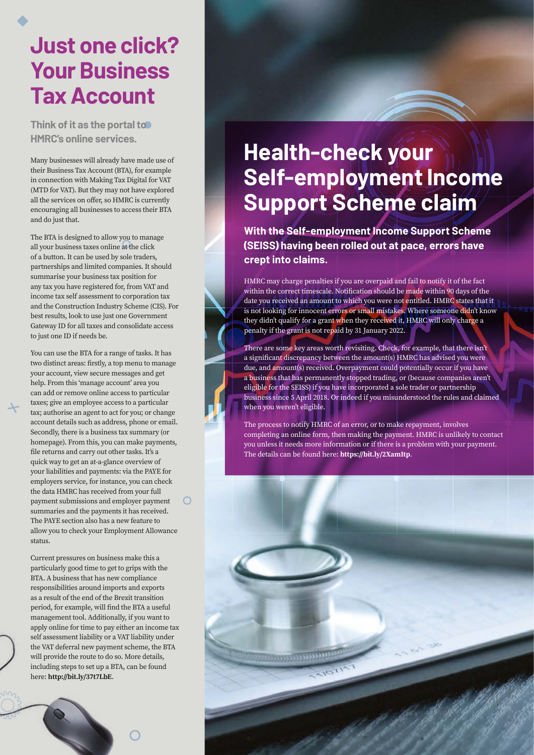## **Just one click? Your Business Tax Account**

**Think of it as the portal to HMRC's online services.** 

Many businesses will already have made use of their Business Tax Account (BTA), for example in connection with Making Tax Digital for VAT (MTD for VAT). But they may not have explored all the services on offer, so HMRC is currently encouraging all businesses to access their BTA and do just that.

The BTA is designed to allow you to manage all your business taxes online at the click of a button. It can be used by sole traders, partnerships and limited companies. It should summarise your business tax position for any tax you have registered for, from VAT and income tax self assessment to corporation tax and the Construction Industry Scheme (CIS). For best results, look to use just one Government Gateway ID for all taxes and consolidate access to just one ID if needs be.

You can use the BTA for a range of tasks. It has two distinct areas: firstly, a top menu to manage your account, view secure messages and get help. From this 'manage account' area you can add or remove online access to particular taxes; give an employee access to a particular tax; authorise an agent to act for you; or change account details such as address, phone or email. Secondly, there is a business tax summary (or homepage). From this, you can make payments, file returns and carry out other tasks. It's a quick way to get an at-a-glance overview of your liabilities and payments: via the PAYE for employers service, for instance, you can check the data HMRC has received from your full payment submissions and employer payment summaries and the payments it has received. The PAYE section also has a new feature to allow you to check your Employment Allowance status.

Current pressures on business make this a particularly good time to get to grips with the BTA. A business that has new compliance responsibilities around imports and exports as a result of the end of the Brexit transition period, for example, will find the BTA a useful management tool. Additionally, if you want to apply online for time to pay either an income tax self assessment liability or a VAT liability under the VAT deferral new payment scheme, the BTA will provide the route to do so. More details, including steps to set up a BTA, can be found here: **http://bit.ly/37t7LbE**.



## **Health-check your Self-employment Income Support Scheme claim**

**With the Self-employment Income Support Scheme (SEISS) having been rolled out at pace, errors have crept into claims.**

HMRC may charge penalties if you are overpaid and fail to notify it of the fact within the correct timescale. Notification should be made within 90 days of the date you received an amount to which you were not entitled. HMRC states that it is not looking for innocent errors or small mistakes. Where someone didn't know they didn't qualify for a grant when they received it, HMRC will only charge a penalty if the grant is not repaid by 31 January 2022.

There are some key areas worth revisiting. Check, for example, that there isn't a significant discrepancy between the amount(s) HMRC has advised you were due, and amount(s) received. Overpayment could potentially occur if you have a business that has permanently stopped trading, or (because companies aren't eligible for the SEISS) if you have incorporated a sole trader or partnership business since 5 April 2018. Or indeed if you misunderstood the rules and claimed when you weren't eligible.

The process to notify HMRC of an error, or to make repayment, involves completing an online form, then making the payment. HMRC is unlikely to contact you unless it needs more information or if there is a problem with your payment. The details can be found here: **https://bit.ly/2XamItp**.

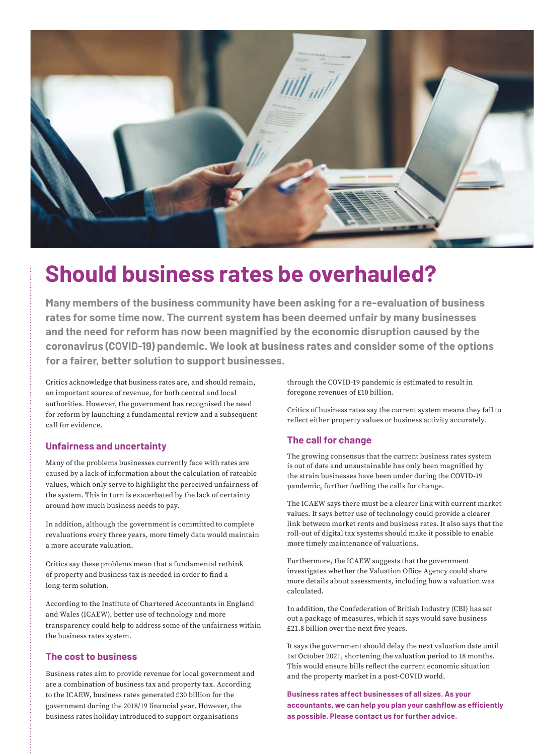

## **Should business rates be overhauled?**

**Many members of the business community have been asking for a re-evaluation of business rates for some time now. The current system has been deemed unfair by many businesses and the need for reform has now been magnified by the economic disruption caused by the coronavirus (COVID-19) pandemic. We look at business rates and consider some of the options for a fairer, better solution to support businesses.**

Critics acknowledge that business rates are, and should remain, an important source of revenue, for both central and local authorities. However, the government has recognised the need for reform by launching a fundamental review and a subsequent call for evidence.

#### **Unfairness and uncertainty**

Many of the problems businesses currently face with rates are caused by a lack of information about the calculation of rateable values, which only serve to highlight the perceived unfairness of the system. This in turn is exacerbated by the lack of certainty around how much business needs to pay.

In addition, although the government is committed to complete revaluations every three years, more timely data would maintain a more accurate valuation.

Critics say these problems mean that a fundamental rethink of property and business tax is needed in order to find a long-term solution.

According to the Institute of Chartered Accountants in England and Wales (ICAEW), better use of technology and more transparency could help to address some of the unfairness within the business rates system.

#### **The cost to business**

Business rates aim to provide revenue for local government and are a combination of business tax and property tax. According to the ICAEW, business rates generated £30 billion for the government during the 2018/19 financial year. However, the business rates holiday introduced to support organisations

through the COVID-19 pandemic is estimated to result in foregone revenues of £10 billion.

Critics of business rates say the current system means they fail to reflect either property values or business activity accurately.

#### **The call for change**

The growing consensus that the current business rates system is out of date and unsustainable has only been magnified by the strain businesses have been under during the COVID-19 pandemic, further fuelling the calls for change.

The ICAEW says there must be a clearer link with current market values. It says better use of technology could provide a clearer link between market rents and business rates. It also says that the roll-out of digital tax systems should make it possible to enable more timely maintenance of valuations.

Furthermore, the ICAEW suggests that the government investigates whether the Valuation Office Agency could share more details about assessments, including how a valuation was calculated.

In addition, the Confederation of British Industry (CBI) has set out a package of measures, which it says would save business £21.8 billion over the next five years.

It says the government should delay the next valuation date until 1st October 2021, shortening the valuation period to 18 months. This would ensure bills reflect the current economic situation and the property market in a post-COVID world.

**Business rates affect businesses of all sizes. As your accountants, we can help you plan your cashflow as efficiently as possible. Please contact us for further advice.**